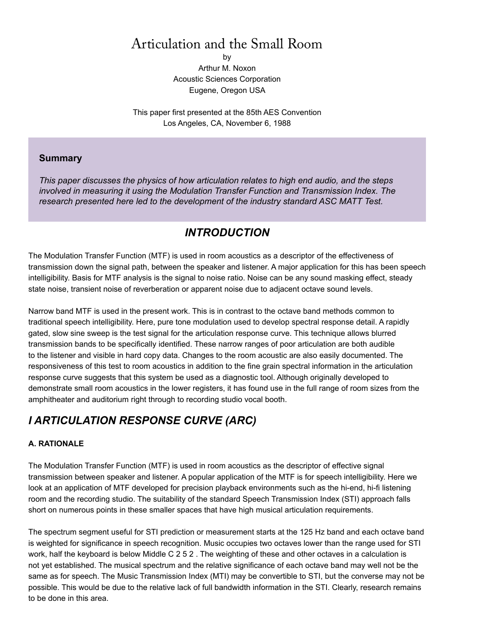# Articulation and the Small Room

by Arthur M. Noxon Acoustic Sciences Corporation Eugene, Oregon USA

This paper first presented at the 85th AES Convention Los Angeles, CA, November 6, 1988

## **Summary**

*This paper discusses the physics of how articulation relates to high end audio, and the steps involved in measuring it using the Modulation Transfer Function and Transmission Index. The research presented here led to the development of the industry standard ASC MATT Test.*

# *INTRODUCTION*

The Modulation Transfer Function (MTF) is used in room acoustics as a descriptor of the effectiveness of transmission down the signal path, between the speaker and listener. A major application for this has been speech intelligibility. Basis for MTF analysis is the signal to noise ratio. Noise can be any sound masking effect, steady state noise, transient noise of reverberation or apparent noise due to adjacent octave sound levels.

Narrow band MTF is used in the present work. This is in contrast to the octave band methods common to traditional speech intelligibility. Here, pure tone modulation used to develop spectral response detail. A rapidly gated, slow sine sweep is the test signal for the articulation response curve. This technique allows blurred transmission bands to be specifically identified. These narrow ranges of poor articulation are both audible to the listener and visible in hard copy data. Changes to the room acoustic are also easily documented. The responsiveness of this test to room acoustics in addition to the fine grain spectral information in the articulation response curve suggests that this system be used as a diagnostic tool. Although originally developed to demonstrate small room acoustics in the lower registers, it has found use in the full range of room sizes from the amphitheater and auditorium right through to recording studio vocal booth.

# *I ARTICULATION RESPONSE CURVE (ARC)*

## **A. RATIONALE**

The Modulation Transfer Function (MTF) is used in room acoustics as the descriptor of effective signal transmission between speaker and listener. A popular application of the MTF is for speech intelligibility. Here we look at an application of MTF developed for precision playback environments such as the hi-end, hi-fi listening room and the recording studio. The suitability of the standard Speech Transmission Index (STI) approach falls short on numerous points in these smaller spaces that have high musical articulation requirements.

The spectrum segment useful for STI prediction or measurement starts at the 125 Hz band and each octave band is weighted for significance in speech recognition. Music occupies two octaves lower than the range used for STI work, half the keyboard is below Middle C 2 5 2 . The weighting of these and other octaves in a calculation is not yet established. The musical spectrum and the relative significance of each octave band may well not be the same as for speech. The Music Transmission Index (MTI) may be convertible to STI, but the converse may not be possible. This would be due to the relative lack of full bandwidth information in the STI. Clearly, research remains to be done in this area.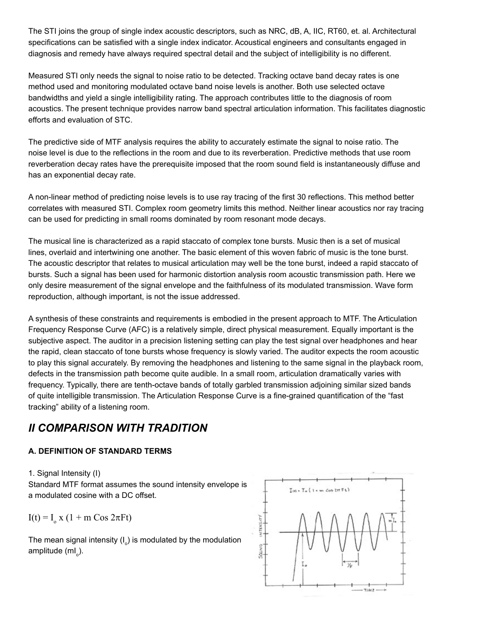The STI joins the group of single index acoustic descriptors, such as NRC, dB, A, IIC, RT60, et. al. Architectural specifications can be satisfied with a single index indicator. Acoustical engineers and consultants engaged in diagnosis and remedy have always required spectral detail and the subject of intelligibility is no different.

Measured STI only needs the signal to noise ratio to be detected. Tracking octave band decay rates is one method used and monitoring modulated octave band noise levels is another. Both use selected octave bandwidths and yield a single intelligibility rating. The approach contributes little to the diagnosis of room acoustics. The present technique provides narrow band spectral articulation information. This facilitates diagnostic efforts and evaluation of STC.

The predictive side of MTF analysis requires the ability to accurately estimate the signal to noise ratio. The noise level is due to the reflections in the room and due to its reverberation. Predictive methods that use room reverberation decay rates have the prerequisite imposed that the room sound field is instantaneously diffuse and has an exponential decay rate.

A non-linear method of predicting noise levels is to use ray tracing of the first 30 reflections. This method better correlates with measured STI. Complex room geometry limits this method. Neither linear acoustics nor ray tracing can be used for predicting in small rooms dominated by room resonant mode decays.

The musical line is characterized as a rapid staccato of complex tone bursts. Music then is a set of musical lines, overlaid and intertwining one another. The basic element of this woven fabric of music is the tone burst. The acoustic descriptor that relates to musical articulation may well be the tone burst, indeed a rapid staccato of bursts. Such a signal has been used for harmonic distortion analysis room acoustic transmission path. Here we only desire measurement of the signal envelope and the faithfulness of its modulated transmission. Wave form reproduction, although important, is not the issue addressed.

A synthesis of these constraints and requirements is embodied in the present approach to MTF. The Articulation Frequency Response Curve (AFC) is a relatively simple, direct physical measurement. Equally important is the subjective aspect. The auditor in a precision listening setting can play the test signal over headphones and hear the rapid, clean staccato of tone bursts whose frequency is slowly varied. The auditor expects the room acoustic to play this signal accurately. By removing the headphones and listening to the same signal in the playback room, defects in the transmission path become quite audible. In a small room, articulation dramatically varies with frequency. Typically, there are tenth-octave bands of totally garbled transmission adjoining similar sized bands of quite intelligible transmission. The Articulation Response Curve is a fine-grained quantification of the "fast tracking" ability of a listening room.

# *II COMPARISON WITH TRADITION*

## **A. DEFINITION OF STANDARD TERMS**

1. Signal Intensity (I)

Standard MTF format assumes the sound intensity envelope is a modulated cosine with a DC offset.

 $I(t) = I_0 x (1 + m \cos 2\pi Ft)$ 

The mean signal intensity (I<sub>o</sub>) is modulated by the modulation amplitude (mI<sub>o</sub>).

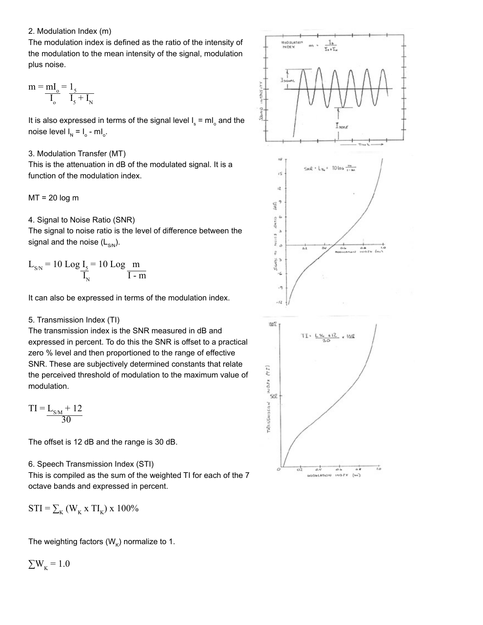### 2. Modulation Index (m)

The modulation index is defined as the ratio of the intensity of the modulation to the mean intensity of the signal, modulation plus noise.

$$
m = \frac{mI_o}{I_o} = \frac{1_5}{I_5 + I_N}
$$

It is also expressed in terms of the signal level  $\mathsf{I}_\mathsf{s}$  = mI $_\circ$  and the noise level  $I_{N} = I_{o} - ml_{o}$ .

### 3. Modulation Transfer (MT)

This is the attenuation in dB of the modulated signal. It is a function of the modulation index.

 $MT = 20 log m$ 

4. Signal to Noise Ratio (SNR)

The signal to noise ratio is the level of difference between the signal and the noise  $(L_{SM})$ .

$$
L_{\text{SN}} = 10 \text{ Log } \frac{I_{\text{S}}}{I_{\text{N}}} = 10 \text{ Log } \frac{m}{I - m}
$$

It can also be expressed in terms of the modulation index.

## 5. Transmission Index (TI)

The transmission index is the SNR measured in dB and expressed in percent. To do this the SNR is offset to a practical zero % level and then proportioned to the range of effective SNR. These are subjectively determined constants that relate the perceived threshold of modulation to the maximum value of modulation.

$$
TI = L_{S/M} + 12
$$

$$
\frac{1}{30}
$$

The offset is 12 dB and the range is 30 dB.

### 6. Speech Transmission Index (STI)

This is compiled as the sum of the weighted TI for each of the 7 octave bands and expressed in percent.

 $STI = \sum_{\kappa} (W_{\kappa} \times TI_{\kappa}) \times 100\%$ 

The weighting factors ( $W_k$ ) normalize to 1.

$$
\Sigma W_{\rm K} = 1.0
$$

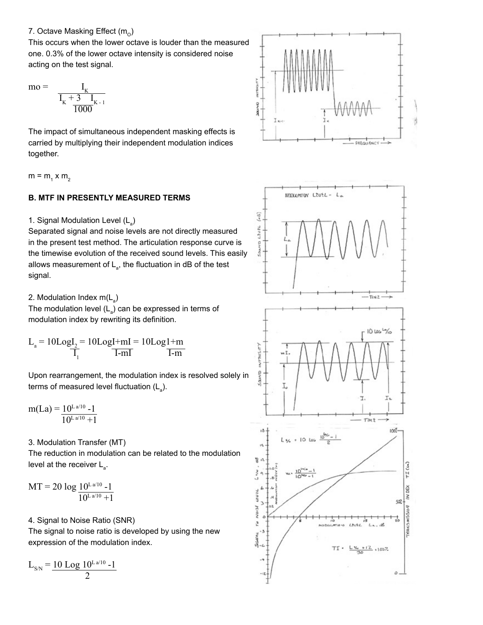### 7. Octave Masking Effect  $(m_0)$

This occurs when the lower octave is louder than the measured one. 0.3% of the lower octave intensity is considered noise acting on the test signal.

$$
m_0 = \frac{I_K}{I_K + \frac{3}{1000} I_{K-1}}
$$

The impact of simultaneous independent masking effects is carried by multiplying their independent modulation indices together.

 $m = m_1 x m_2$ 

## **B. MTF IN PRESENTLY MEASURED TERMS**

1. Signal Modulation Level (L<sub>a</sub>)

Separated signal and noise levels are not directly measured in the present test method. The articulation response curve is the timewise evolution of the received sound levels. This easily allows measurement of  $\mathsf{L}_{\mathsf{a}}$ , the fluctuation in dB of the test signal.

2. Modulation Index m(L<sub>a</sub>)

The modulation level  $(L_{\rm a})$  can be expressed in terms of modulation index by rewriting its definition.

$$
L_{a} = 10\text{Log}I_{2} = 10\text{Log}I + mI = 10\text{Log}I + m
$$
  

$$
\overline{I_{1}}
$$
  

$$
\overline{I - mI}
$$

Upon rearrangement, the modulation index is resolved solely in terms of measured level fluctuation (L<sub>a</sub>).

$$
m(La) = \frac{10^{L a/10} - 1}{10^{L a/10} + 1}
$$

3. Modulation Transfer (MT)

The reduction in modulation can be related to the modulation level at the receiver  $\mathsf{L}_{_{\mathsf{a}}}$ .

 $MT = 20 log_1 10^{L a/10} - 1$  $\sqrt{10^{L a/10} + 1}$ 

# 4. Signal to Noise Ratio (SNR) The signal to noise ratio is developed by using the new

expression of the modulation index.

$$
L_{\rm SN} = \frac{10 \text{ Log } 10^{\rm L\,a/10} - 1}{2}
$$



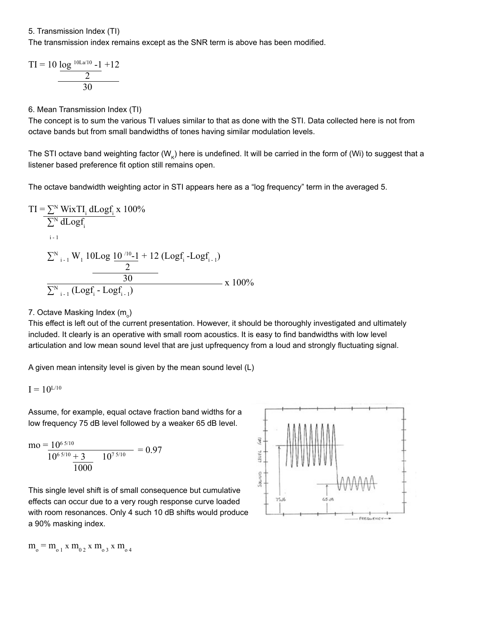5. Transmission Index (TI)

The transmission index remains except as the SNR term is above has been modified.

$$
TI = 10 \frac{\log^{10La/10} - 1}{2} + 12
$$
  
30

6. Mean Transmission Index (TI)

The concept is to sum the various TI values similar to that as done with the STI. Data collected here is not from octave bands but from small bandwidths of tones having similar modulation levels.

The STI octave band weighting factor (W<sub>K</sub>) here is undefined. It will be carried in the form of (Wi) to suggest that a listener based preference fit option still remains open.

The octave bandwidth weighting actor in STI appears here as a "log frequency" term in the averaged 5.

TI = 
$$
\sum_{N} NixTI_i dLogf_i x 100\%
$$
  
\n $\sum_{i=1}^{N} dLogf_i$   
\n $\sum_{i=1}^{N} W_i 10Log \frac{10^{10}-1}{2} + 12 (Logf_i -Logf_{i-1})$   
\n $\frac{30}{2N}$   
\n $\sum_{i=1}^{N} (Logf_i - Logf_{i-1})$   
\nx 100%

# 7. Octave Masking Index (m<sub>。</sub>)

This effect is left out of the current presentation. However, it should be thoroughly investigated and ultimately included. It clearly is an operative with small room acoustics. It is easy to find bandwidths with low level articulation and low mean sound level that are just upfrequency from a loud and strongly fluctuating signal.

A given mean intensity level is given by the mean sound level (L)

$$
I=10^{\rm L/10}
$$

Assume, for example, equal octave fraction band widths for a low frequency 75 dB level followed by a weaker 65 dB level.

$$
mo = \frac{10^{65/10}}{10^{65/10} + 3} = 0.97
$$
  

$$
\frac{10^{75/10}}{1000} = 0.97
$$

This single level shift is of small consequence but cumulative effects can occur due to a very rough response curve loaded with room resonances. Only 4 such 10 dB shifts would produce a 90% masking index.



 $m_o = m_{o1} x m_{o2} x m_{o3} x m_{o4}$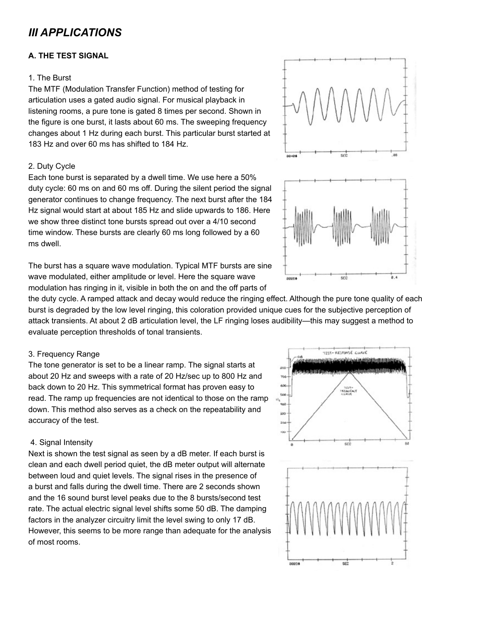# *III APPLICATIONS*

### **A. THE TEST SIGNAL**

#### 1. The Burst

The MTF (Modulation Transfer Function) method of testing for articulation uses a gated audio signal. For musical playback in listening rooms, a pure tone is gated 8 times per second. Shown in the figure is one burst, it lasts about 60 ms. The sweeping frequency changes about 1 Hz during each burst. This particular burst started at 183 Hz and over 60 ms has shifted to 184 Hz.

### 2. Duty Cycle

Each tone burst is separated by a dwell time. We use here a 50% duty cycle: 60 ms on and 60 ms off. During the silent period the signal generator continues to change frequency. The next burst after the 184 Hz signal would start at about 185 Hz and slide upwards to 186. Here we show three distinct tone bursts spread out over a 4/10 second time window. These bursts are clearly 60 ms long followed by a 60 ms dwell.

The burst has a square wave modulation. Typical MTF bursts are sine wave modulated, either amplitude or level. Here the square wave modulation has ringing in it, visible in both the on and the off parts of

the duty cycle. A ramped attack and decay would reduce the ringing effect. Although the pure tone quality of each burst is degraded by the low level ringing, this coloration provided unique cues for the subjective perception of attack transients. At about 2 dB articulation level, the LF ringing loses audibility—this may suggest a method to evaluate perception thresholds of tonal transients.

### 3. Frequency Range

The tone generator is set to be a linear ramp. The signal starts at about 20 Hz and sweeps with a rate of 20 Hz/sec up to 800 Hz and back down to 20 Hz. This symmetrical format has proven easy to read. The ramp up frequencies are not identical to those on the ramp down. This method also serves as a check on the repeatability and accuracy of the test.

#### 4. Signal Intensity

Next is shown the test signal as seen by a dB meter. If each burst is clean and each dwell period quiet, the dB meter output will alternate between loud and quiet levels. The signal rises in the presence of a burst and falls during the dwell time. There are 2 seconds shown and the 16 sound burst level peaks due to the 8 bursts/second test rate. The actual electric signal level shifts some 50 dB. The damping factors in the analyzer circuitry limit the level swing to only 17 dB. However, this seems to be more range than adequate for the analysis of most rooms.



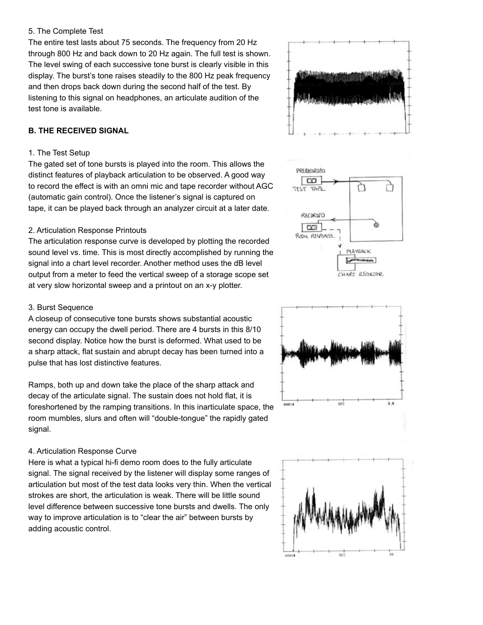#### 5. The Complete Test

The entire test lasts about 75 seconds. The frequency from 20 Hz through 800 Hz and back down to 20 Hz again. The full test is shown. The level swing of each successive tone burst is clearly visible in this display. The burst's tone raises steadily to the 800 Hz peak frequency and then drops back down during the second half of the test. By listening to this signal on headphones, an articulate audition of the test tone is available.

### **B. THE RECEIVED SIGNAL**

### 1. The Test Setup

The gated set of tone bursts is played into the room. This allows the distinct features of playback articulation to be observed. A good way to record the effect is with an omni mic and tape recorder without AGC (automatic gain control). Once the listener's signal is captured on tape, it can be played back through an analyzer circuit at a later date.

### 2. Articulation Response Printouts

The articulation response curve is developed by plotting the recorded sound level vs. time. This is most directly accomplished by running the signal into a chart level recorder. Another method uses the dB level output from a meter to feed the vertical sweep of a storage scope set at very slow horizontal sweep and a printout on an x-y plotter.

### 3. Burst Sequence

A closeup of consecutive tone bursts shows substantial acoustic energy can occupy the dwell period. There are 4 bursts in this 8/10 second display. Notice how the burst is deformed. What used to be a sharp attack, flat sustain and abrupt decay has been turned into a pulse that has lost distinctive features.

Ramps, both up and down take the place of the sharp attack and decay of the articulate signal. The sustain does not hold flat, it is foreshortened by the ramping transitions. In this inarticulate space, the room mumbles, slurs and often will "double-tongue" the rapidly gated signal.

### 4. Articulation Response Curve

Here is what a typical hi-fi demo room does to the fully articulate signal. The signal received by the listener will display some ranges of articulation but most of the test data looks very thin. When the vertical strokes are short, the articulation is weak. There will be little sound level difference between successive tone bursts and dwells. The only way to improve articulation is to "clear the air" between bursts by adding acoustic control.







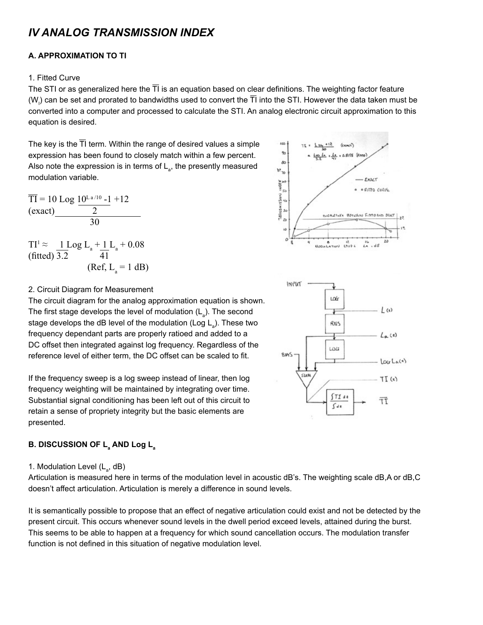# *IV ANALOG TRANSMISSION INDEX*

## **A. APPROXIMATION TO TI**

### 1. Fitted Curve

The STI or as generalized here the  $\overline{T}$  is an equation based on clear definitions. The weighting factor feature (W<sub>i</sub>) can be set and prorated to bandwidths used to convert the TI into the STI. However the data taken must be converted into a computer and processed to calculate the STI. An analog electronic circuit approximation to this equation is desired.

The key is the  $\overline{T}$  term. Within the range of desired values a simple expression has been found to closely match within a few percent. Also note the expression is in terms of  $\mathsf{L}_{\mathsf{a}}$ , the presently measured modulation variable.

$$
\frac{\overline{TI}}{1} = 10 \text{ Log } \frac{10^{\text{La}/10} - 1}{2} + 12
$$
\n(exact)

 $TI^1 \approx \underline{1 \text{ Log } L_a + \underline{1} L_a}$  + 0.08  $(fitted)$  3.2  $(Ref, L_a = 1 dB)$ 

$$
L_{\rm a} + 0.08
$$





## 2. Circuit Diagram for Measurement

The circuit diagram for the analog approximation equation is shown. The first stage develops the level of modulation ( $\mathsf{L}_{_{\sf a}}$ ). The second stage develops the dB level of the modulation (Log L<sub>a</sub>). These two frequency dependant parts are properly ratioed and added to a DC offset then integrated against log frequency. Regardless of the reference level of either term, the DC offset can be scaled to fit.

If the frequency sweep is a log sweep instead of linear, then log frequency weighting will be maintained by integrating over time. Substantial signal conditioning has been left out of this circuit to retain a sense of propriety integrity but the basic elements are presented.

# **B. DISCUSSION OF La AND Log La**

1. Modulation Level  $(L_{a}, dB)$ 

Articulation is measured here in terms of the modulation level in acoustic dB's. The weighting scale dB,A or dB,C doesn't affect articulation. Articulation is merely a difference in sound levels.

It is semantically possible to propose that an effect of negative articulation could exist and not be detected by the present circuit. This occurs whenever sound levels in the dwell period exceed levels, attained during the burst. This seems to be able to happen at a frequency for which sound cancellation occurs. The modulation transfer function is not defined in this situation of negative modulation level.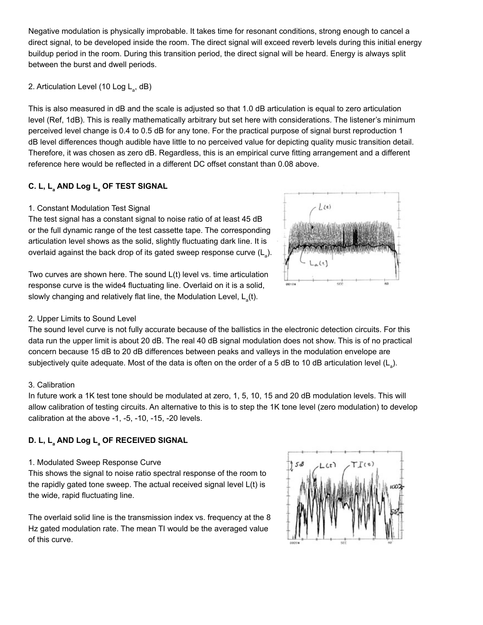Negative modulation is physically improbable. It takes time for resonant conditions, strong enough to cancel a direct signal, to be developed inside the room. The direct signal will exceed reverb levels during this initial energy buildup period in the room. During this transition period, the direct signal will be heard. Energy is always split between the burst and dwell periods.

# 2. Articulation Level (10 Log L<sub>a</sub>, dB)

This is also measured in dB and the scale is adjusted so that 1.0 dB articulation is equal to zero articulation level (Ref, 1dB). This is really mathematically arbitrary but set here with considerations. The listener's minimum perceived level change is 0.4 to 0.5 dB for any tone. For the practical purpose of signal burst reproduction 1 dB level differences though audible have little to no perceived value for depicting quality music transition detail. Therefore, it was chosen as zero dB. Regardless, this is an empirical curve fitting arrangement and a different reference here would be reflected in a different DC offset constant than 0.08 above.

# **C. L, La AND Log La OF TEST SIGNAL**

## 1. Constant Modulation Test Signal

The test signal has a constant signal to noise ratio of at least 45 dB or the full dynamic range of the test cassette tape. The corresponding articulation level shows as the solid, slightly fluctuating dark line. It is overlaid against the back drop of its gated sweep response curve (L<sub>a</sub>).

Two curves are shown here. The sound L(t) level vs. time articulation response curve is the wide4 fluctuating line. Overlaid on it is a solid, slowly changing and relatively flat line, the Modulation Level,  $\mathsf{L}_{_{\mathsf{a}}}(\mathsf{t}).$ 



## 2. Upper Limits to Sound Level

The sound level curve is not fully accurate because of the ballistics in the electronic detection circuits. For this data run the upper limit is about 20 dB. The real 40 dB signal modulation does not show. This is of no practical concern because 15 dB to 20 dB differences between peaks and valleys in the modulation envelope are subjectively quite adequate. Most of the data is often on the order of a 5 dB to 10 dB articulation level (L<sub>a</sub>).

## 3. Calibration

In future work a 1K test tone should be modulated at zero, 1, 5, 10, 15 and 20 dB modulation levels. This will allow calibration of testing circuits. An alternative to this is to step the 1K tone level (zero modulation) to develop calibration at the above -1, -5, -10, -15, -20 levels.

# **D. L, La AND Log La OF RECEIVED SIGNAL**

## 1. Modulated Sweep Response Curve

This shows the signal to noise ratio spectral response of the room to the rapidly gated tone sweep. The actual received signal level L(t) is the wide, rapid fluctuating line.

The overlaid solid line is the transmission index vs. frequency at the 8 Hz gated modulation rate. The mean TI would be the averaged value of this curve.

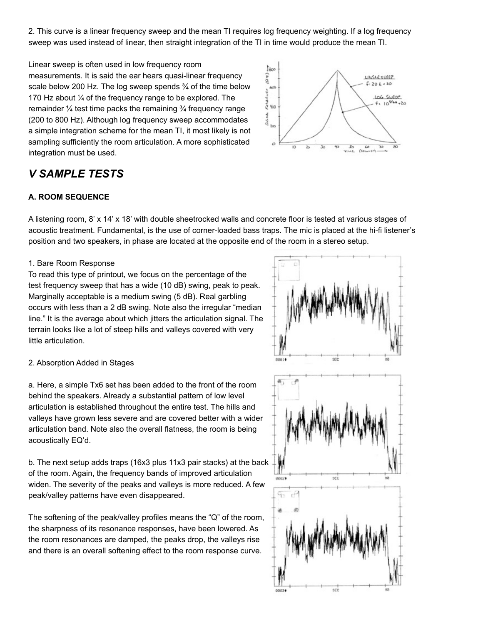2. This curve is a linear frequency sweep and the mean TI requires log frequency weighting. If a log frequency sweep was used instead of linear, then straight integration of the TI in time would produce the mean TI.

Linear sweep is often used in low frequency room measurements. It is said the ear hears quasi-linear frequency scale below 200 Hz. The log sweep spends  $\frac{3}{4}$  of the time below 170 Hz about ¼ of the frequency range to be explored. The remainder  $\frac{1}{4}$  test time packs the remaining  $\frac{3}{4}$  frequency range (200 to 800 Hz). Although log frequency sweep accommodates a simple integration scheme for the mean TI, it most likely is not sampling sufficiently the room articulation. A more sophisticated integration must be used.



# *V SAMPLE TESTS*

## **A. ROOM SEQUENCE**

A listening room, 8' x 14' x 18' with double sheetrocked walls and concrete floor is tested at various stages of acoustic treatment. Fundamental, is the use of corner-loaded bass traps. The mic is placed at the hi-fi listener's position and two speakers, in phase are located at the opposite end of the room in a stereo setup.

### 1. Bare Room Response

To read this type of printout, we focus on the percentage of the test frequency sweep that has a wide (10 dB) swing, peak to peak. Marginally acceptable is a medium swing (5 dB). Real garbling occurs with less than a 2 dB swing. Note also the irregular "median line." It is the average about which jitters the articulation signal. The terrain looks like a lot of steep hills and valleys covered with very little articulation.

### 2. Absorption Added in Stages

a. Here, a simple Tx6 set has been added to the front of the room behind the speakers. Already a substantial pattern of low level articulation is established throughout the entire test. The hills and valleys have grown less severe and are covered better with a wider articulation band. Note also the overall flatness, the room is being acoustically EQ'd.

b. The next setup adds traps (16x3 plus 11x3 pair stacks) at the back of the room. Again, the frequency bands of improved articulation widen. The severity of the peaks and valleys is more reduced. A few peak/valley patterns have even disappeared.

The softening of the peak/valley profiles means the "Q" of the room, the sharpness of its resonance responses, have been lowered. As the room resonances are damped, the peaks drop, the valleys rise and there is an overall softening effect to the room response curve.

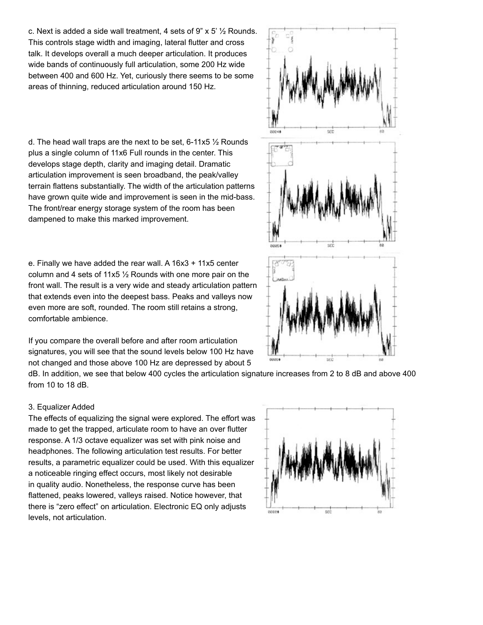c. Next is added a side wall treatment, 4 sets of 9"  $\times$  5'  $\frac{1}{2}$  Rounds. This controls stage width and imaging, lateral flutter and cross talk. It develops overall a much deeper articulation. It produces wide bands of continuously full articulation, some 200 Hz wide between 400 and 600 Hz. Yet, curiously there seems to be some areas of thinning, reduced articulation around 150 Hz.

d. The head wall traps are the next to be set,  $6-11 \times 5 \frac{1}{2}$  Rounds plus a single column of 11x6 Full rounds in the center. This develops stage depth, clarity and imaging detail. Dramatic articulation improvement is seen broadband, the peak/valley terrain flattens substantially. The width of the articulation patterns have grown quite wide and improvement is seen in the mid-bass. The front/rear energy storage system of the room has been dampened to make this marked improvement.

e. Finally we have added the rear wall. A 16x3 + 11x5 center column and 4 sets of 11x5 ½ Rounds with one more pair on the front wall. The result is a very wide and steady articulation pattern that extends even into the deepest bass. Peaks and valleys now even more are soft, rounded. The room still retains a strong, comfortable ambience.

If you compare the overall before and after room articulation signatures, you will see that the sound levels below 100 Hz have not changed and those above 100 Hz are depressed by about 5

dB. In addition, we see that below 400 cycles the articulation signature increases from 2 to 8 dB and above 400 from 10 to 18 dB.

### 3. Equalizer Added

The effects of equalizing the signal were explored. The effort was made to get the trapped, articulate room to have an over flutter response. A 1/3 octave equalizer was set with pink noise and headphones. The following articulation test results. For better results, a parametric equalizer could be used. With this equalizer a noticeable ringing effect occurs, most likely not desirable in quality audio. Nonetheless, the response curve has been flattened, peaks lowered, valleys raised. Notice however, that there is "zero effect" on articulation. Electronic EQ only adjusts levels, not articulation.



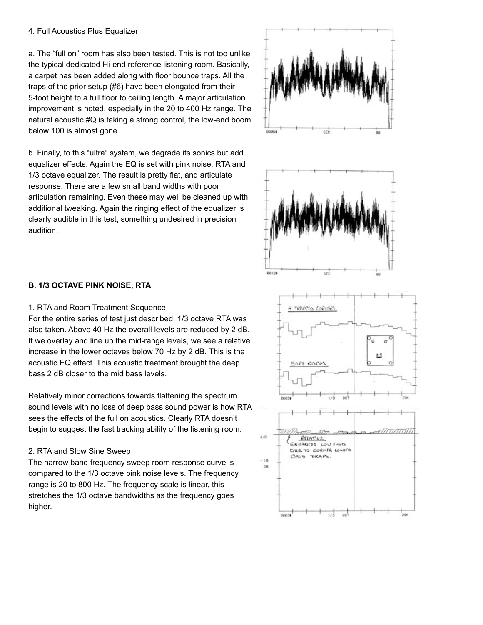#### 4. Full Acoustics Plus Equalizer

a. The "full on" room has also been tested. This is not too unlike the typical dedicated Hi-end reference listening room. Basically, a carpet has been added along with floor bounce traps. All the traps of the prior setup (#6) have been elongated from their 5-foot height to a full floor to ceiling length. A major articulation improvement is noted, especially in the 20 to 400 Hz range. The natural acoustic #Q is taking a strong control, the low-end boom below 100 is almost gone.

b. Finally, to this "ultra" system, we degrade its sonics but add equalizer effects. Again the EQ is set with pink noise, RTA and 1/3 octave equalizer. The result is pretty flat, and articulate response. There are a few small band widths with poor articulation remaining. Even these may well be cleaned up with additional tweaking. Again the ringing effect of the equalizer is clearly audible in this test, something undesired in precision audition.



#### 1. RTA and Room Treatment Sequence

For the entire series of test just described, 1/3 octave RTA was also taken. Above 40 Hz the overall levels are reduced by 2 dB. If we overlay and line up the mid-range levels, we see a relative increase in the lower octaves below 70 Hz by 2 dB. This is the acoustic EQ effect. This acoustic treatment brought the deep bass 2 dB closer to the mid bass levels.

Relatively minor corrections towards flattening the spectrum sound levels with no loss of deep bass sound power is how RTA sees the effects of the full on acoustics. Clearly RTA doesn't begin to suggest the fast tracking ability of the listening room.

### 2. RTA and Slow Sine Sweep

The narrow band frequency sweep room response curve is compared to the 1/3 octave pink noise levels. The frequency range is 20 to 800 Hz. The frequency scale is linear, this stretches the 1/3 octave bandwidths as the frequency goes higher.





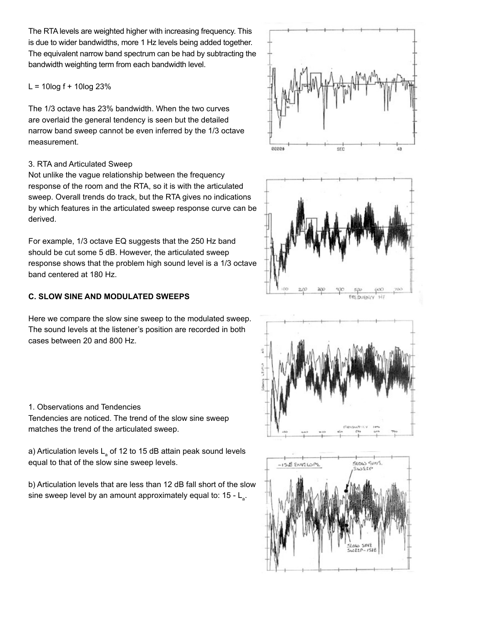The RTA levels are weighted higher with increasing frequency. This is due to wider bandwidths, more 1 Hz levels being added together. The equivalent narrow band spectrum can be had by subtracting the bandwidth weighting term from each bandwidth level.

 $L = 10$ log f + 10log 23%

The 1/3 octave has 23% bandwidth. When the two curves are overlaid the general tendency is seen but the detailed narrow band sweep cannot be even inferred by the 1/3 octave measurement.

### 3. RTA and Articulated Sweep

Not unlike the vague relationship between the frequency response of the room and the RTA, so it is with the articulated sweep. Overall trends do track, but the RTA gives no indications by which features in the articulated sweep response curve can be derived.

For example, 1/3 octave EQ suggests that the 250 Hz band should be cut some 5 dB. However, the articulated sweep response shows that the problem high sound level is a 1/3 octave band centered at 180 Hz.

## **C. SLOW SINE AND MODULATED SWEEPS**

Here we compare the slow sine sweep to the modulated sweep. The sound levels at the listener's position are recorded in both cases between 20 and 800 Hz.

1. Observations and Tendencies Tendencies are noticed. The trend of the slow sine sweep matches the trend of the articulated sweep.

a) Articulation levels  $\mathsf{L}_{_\mathsf{a}}$  of 12 to 15 dB attain peak sound levels equal to that of the slow sine sweep levels.

b) Articulation levels that are less than 12 dB fall short of the slow sine sweep level by an amount approximately equal to: 15 -  $\mathsf{L}_{_{\mathsf{a}}}$ .







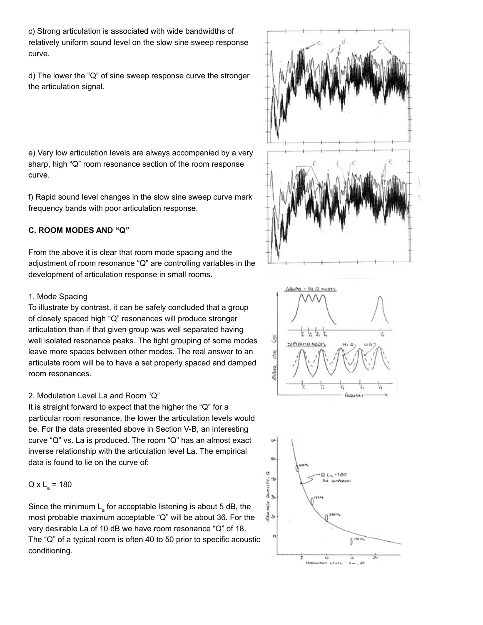c) Strong articulation is associated with wide bandwidths of relatively uniform sound level on the slow sine sweep response curve.

d) The lower the "Q" of sine sweep response curve the stronger the articulation signal.

e) Very low articulation levels are always accompanied by a very sharp, high "Q" room resonance section of the room response curve.

f) Rapid sound level changes in the slow sine sweep curve mark frequency bands with poor articulation response.

### **C. ROOM MODES AND "Q"**

From the above it is clear that room mode spacing and the adjustment of room resonance "Q" are controlling variables in the development of articulation response in small rooms.

### 1. Mode Spacing

To illustrate by contrast, it can be safely concluded that a group of closely spaced high "Q" resonances will produce stronger articulation than if that given group was well separated having well isolated resonance peaks. The tight grouping of some modes leave more spaces between other modes. The real answer to an articulate room will be to have a set properly spaced and damped room resonances.

## 2. Modulation Level La and Room "Q"

It is straight forward to expect that the higher the "Q" for a particular room resonance, the lower the articulation levels would be. For the data presented above in Section V-B, an interesting curve "Q" vs. La is produced. The room "Q" has an almost exact inverse relationship with the articulation level La. The empirical data is found to lie on the curve of:

# $Q \times L$ <sub>a</sub> = 180

Since the minimum  $\mathsf{L}\xspace_{\mathsf{a}}$  for acceptable listening is about 5 dB, the most probable maximum acceptable "Q" will be about 36. For the very desirable La of 10 dB we have room resonance "Q" of 18. The "Q" of a typical room is often 40 to 50 prior to specific acoustic conditioning.





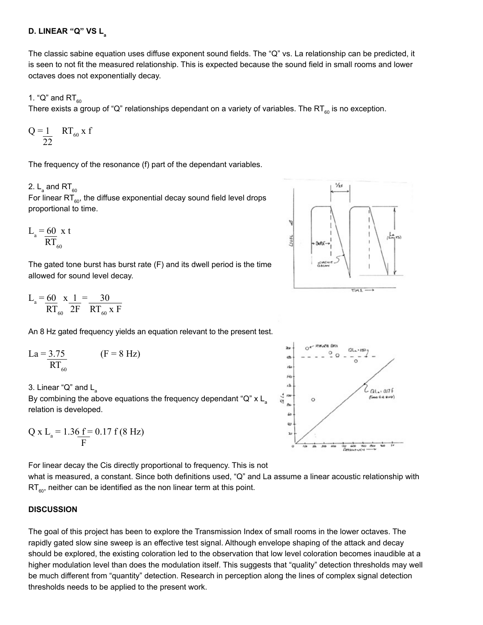### **D. LINEAR "Q" VS La**

The classic sabine equation uses diffuse exponent sound fields. The "Q" vs. La relationship can be predicted, it is seen to not fit the measured relationship. This is expected because the sound field in small rooms and lower octaves does not exponentially decay.

### 1. "Q" and  $RT_{60}$

There exists a group of "Q" relationships dependant on a variety of variables. The RT<sub> $\alpha$ </sub> is no exception.

$$
Q = \frac{1}{22} \quad RT_{60} \times f
$$

The frequency of the resonance (f) part of the dependant variables.

# 2.  $\mathsf{L}_{_\mathsf{a}}$  and RT $_{_{60}}$

For linear  $RT_{60}$ , the diffuse exponential decay sound field level drops proportional to time.

$$
L_a = \frac{60}{RT_{60}} \times t
$$

The gated tone burst has burst rate (F) and its dwell period is the time allowed for sound level decay.

$$
L_{a} = \frac{60}{RT_{60}} \times \frac{1}{2F} = \frac{30}{RT_{60} \times F}
$$

An 8 Hz gated frequency yields an equation relevant to the present test.

$$
La = \frac{3.75}{RT_{60}} \qquad (F = 8 Hz)
$$

3. Linear " $Q$ " and  $L$ <sub>2</sub>

By combining the above equations the frequency dependant "Q"  $x L$ relation is developed.

$$
Q \times L_{a} = 1.36 \, \frac{f}{F} = 0.17 \, f \, (8 \, Hz)
$$

For linear decay the Cis directly proportional to frequency. This is not

what is measured, a constant. Since both definitions used, "Q" and La assume a linear acoustic relationship with  $RT_{\text{eq}}$ , neither can be identified as the non linear term at this point.

### **DISCUSSION**

The goal of this project has been to explore the Transmission Index of small rooms in the lower octaves. The rapidly gated slow sine sweep is an effective test signal. Although envelope shaping of the attack and decay should be explored, the existing coloration led to the observation that low level coloration becomes inaudible at a higher modulation level than does the modulation itself. This suggests that "quality" detection thresholds may well be much different from "quantity" detection. Research in perception along the lines of complex signal detection thresholds needs to be applied to the present work.



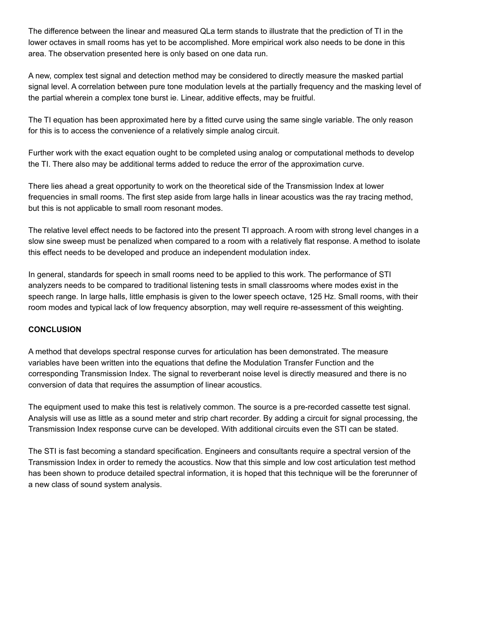The difference between the linear and measured QLa term stands to illustrate that the prediction of TI in the lower octaves in small rooms has yet to be accomplished. More empirical work also needs to be done in this area. The observation presented here is only based on one data run.

A new, complex test signal and detection method may be considered to directly measure the masked partial signal level. A correlation between pure tone modulation levels at the partially frequency and the masking level of the partial wherein a complex tone burst ie. Linear, additive effects, may be fruitful.

The TI equation has been approximated here by a fitted curve using the same single variable. The only reason for this is to access the convenience of a relatively simple analog circuit.

Further work with the exact equation ought to be completed using analog or computational methods to develop the TI. There also may be additional terms added to reduce the error of the approximation curve.

There lies ahead a great opportunity to work on the theoretical side of the Transmission Index at lower frequencies in small rooms. The first step aside from large halls in linear acoustics was the ray tracing method, but this is not applicable to small room resonant modes.

The relative level effect needs to be factored into the present TI approach. A room with strong level changes in a slow sine sweep must be penalized when compared to a room with a relatively flat response. A method to isolate this effect needs to be developed and produce an independent modulation index.

In general, standards for speech in small rooms need to be applied to this work. The performance of STI analyzers needs to be compared to traditional listening tests in small classrooms where modes exist in the speech range. In large halls, little emphasis is given to the lower speech octave, 125 Hz. Small rooms, with their room modes and typical lack of low frequency absorption, may well require re-assessment of this weighting.

### **CONCLUSION**

A method that develops spectral response curves for articulation has been demonstrated. The measure variables have been written into the equations that define the Modulation Transfer Function and the corresponding Transmission Index. The signal to reverberant noise level is directly measured and there is no conversion of data that requires the assumption of linear acoustics.

The equipment used to make this test is relatively common. The source is a pre-recorded cassette test signal. Analysis will use as little as a sound meter and strip chart recorder. By adding a circuit for signal processing, the Transmission Index response curve can be developed. With additional circuits even the STI can be stated.

The STI is fast becoming a standard specification. Engineers and consultants require a spectral version of the Transmission Index in order to remedy the acoustics. Now that this simple and low cost articulation test method has been shown to produce detailed spectral information, it is hoped that this technique will be the forerunner of a new class of sound system analysis.